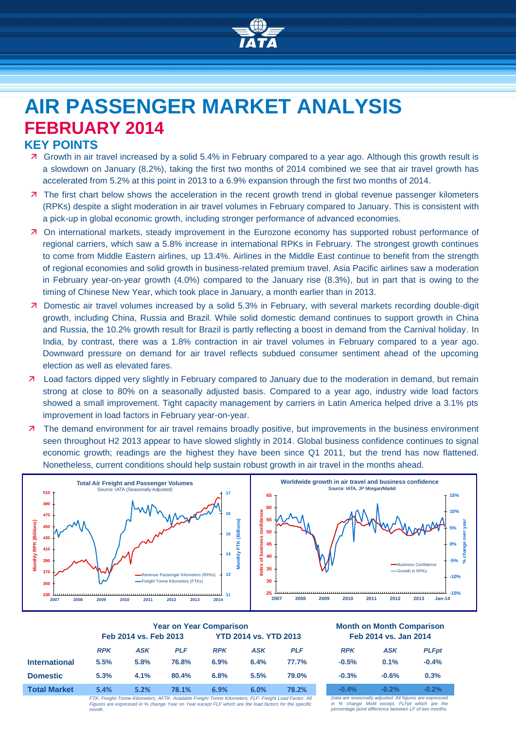

# **AIR PASSENGER MARKET ANALYSIS FEBRUARY 2014**

## **KEY POINTS**

- Growth in air travel increased by a solid 5.4% in February compared to a year ago. Although this growth result is a slowdown on January (8.2%), taking the first two months of 2014 combined we see that air travel growth has accelerated from 5.2% at this point in 2013 to a 6.9% expansion through the first two months of 2014.
- **7** The first chart below shows the acceleration in the recent growth trend in global revenue passenger kilometers (RPKs) despite a slight moderation in air travel volumes in February compared to January. This is consistent with a pick-up in global economic growth, including stronger performance of advanced economies.
- On international markets, steady improvement in the Eurozone economy has supported robust performance of regional carriers, which saw a 5.8% increase in international RPKs in February. The strongest growth continues to come from Middle Eastern airlines, up 13.4%. Airlines in the Middle East continue to benefit from the strength of regional economies and solid growth in business-related premium travel. Asia Pacific airlines saw a moderation in February year-on-year growth (4.0%) compared to the January rise (8.3%), but in part that is owing to the timing of Chinese New Year, which took place in January, a month earlier than in 2013.
- Domestic air travel volumes increased by a solid 5.3% in February, with several markets recording double-digit growth, including China, Russia and Brazil. While solid domestic demand continues to support growth in China and Russia, the 10.2% growth result for Brazil is partly reflecting a boost in demand from the Carnival holiday. In India, by contrast, there was a 1.8% contraction in air travel volumes in February compared to a year ago. Downward pressure on demand for air travel reflects subdued consumer sentiment ahead of the upcoming election as well as elevated fares.
- Load factors dipped very slightly in February compared to January due to the moderation in demand, but remain strong at close to 80% on a seasonally adjusted basis. Compared to a year ago, industry wide load factors showed a small improvement. Tight capacity management by carriers in Latin America helped drive a 3.1% pts improvement in load factors in February year-on-year.
- The demand environment for air travel remains broadly positive, but improvements in the business environment seen throughout H2 2013 appear to have slowed slightly in 2014. Global business confidence continues to signal economic growth; readings are the highest they have been since Q1 2011, but the trend has now flattened. Nonetheless, current conditions should help sustain robust growth in air travel in the months ahead.



|                      | <b>Year on Year Comparison</b> |            |                                                                                                           |            |            | <b>Month on Month Comparisor</b> |            |                                                      |             |
|----------------------|--------------------------------|------------|-----------------------------------------------------------------------------------------------------------|------------|------------|----------------------------------|------------|------------------------------------------------------|-------------|
|                      | Feb 2014 vs. Feb 2013          |            | <b>YTD 2014 vs. YTD 2013</b>                                                                              |            |            | Feb 2014 vs. Jan 2014            |            |                                                      |             |
|                      | <b>RPK</b>                     | <b>ASK</b> | <b>PLF</b>                                                                                                | <b>RPK</b> | <b>ASK</b> | <b>PLF</b>                       | <b>RPK</b> | <b>ASK</b>                                           | <b>PLFp</b> |
| <b>International</b> | 5.5%                           | 5.8%       | 76.8%                                                                                                     | 6.9%       | 6.4%       | 77.7%                            | $-0.5%$    | 0.1%                                                 | $-0.4%$     |
| <b>Domestic</b>      | 5.3%                           | 4.1%       | 80.4%                                                                                                     | 6.8%       | 5.5%       | 79.0%                            | $-0.3%$    | $-0.6%$                                              | 0.3%        |
| <b>Total Market</b>  | 5.4%                           | 5.2%       | 78.1%                                                                                                     | 6.9%       | 6.0%       | 78.2%                            | $-0.4%$    | $-0.2%$                                              | $-0.2%$     |
|                      |                                |            | ETV: Escielat Tonno Vilomotoro: AETV: Available Escielat Tonno Vilomotoro: ELE: Escielat Lood Footos, All |            |            |                                  |            | Data am seggenally adjusted. All figures are evening |             |

*FTK: Freight-Tonne-Kilometers; AFTK: Available Freight Tonne Kilometers; FLF: Freight Load Factor. All Figures are expressed in % change Year on Year except FLF which are the load factors for the specific month.*

#### **Year on Year Comparison Month on Month Comparison Feb** 2014 **vs. Jan 2014**

| <b>RPK</b> | <b>ASK</b> | <b>PLFpt</b> |
|------------|------------|--------------|
| $-0.5%$    | 0.1%       | $-0.4%$      |
| $-0.3%$    | $-0.6%$    | 0.3%         |
| $-0.4%$    | $-0.2%$    | $-0.2%$      |

*Data are seasonally adjusted. All figures are expressed in % change MoM except, FLFpt which are the percentage point difference between LF of two months.*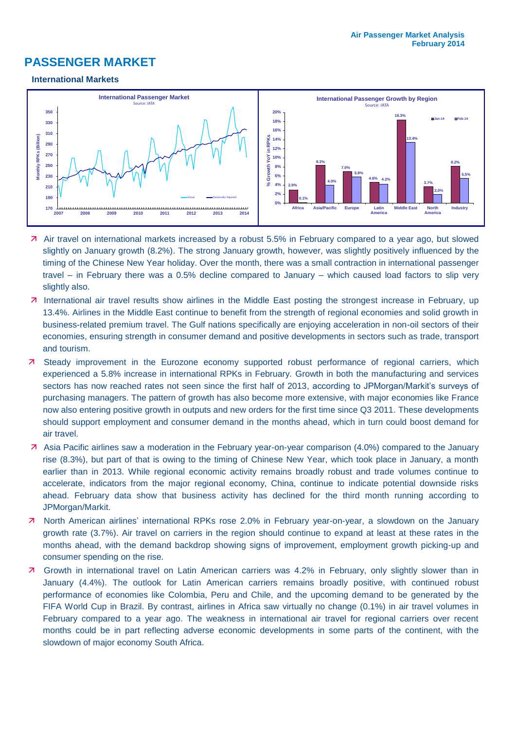# **PASSENGER MARKET**

#### **International Markets**



- Air travel on international markets increased by a robust 5.5% in February compared to a year ago, but slowed slightly on January growth (8.2%). The strong January growth, however, was slightly positively influenced by the timing of the Chinese New Year holiday. Over the month, there was a small contraction in international passenger travel – in February there was a 0.5% decline compared to January – which caused load factors to slip very slightly also.
- 7 International air travel results show airlines in the Middle East posting the strongest increase in February, up 13.4%. Airlines in the Middle East continue to benefit from the strength of regional economies and solid growth in business-related premium travel. The Gulf nations specifically are enjoying acceleration in non-oil sectors of their economies, ensuring strength in consumer demand and positive developments in sectors such as trade, transport and tourism.
- Steady improvement in the Eurozone economy supported robust performance of regional carriers, which experienced a 5.8% increase in international RPKs in February. Growth in both the manufacturing and services sectors has now reached rates not seen since the first half of 2013, according to JPMorgan/Markit's surveys of purchasing managers. The pattern of growth has also become more extensive, with major economies like France now also entering positive growth in outputs and new orders for the first time since Q3 2011. These developments should support employment and consumer demand in the months ahead, which in turn could boost demand for air travel.
- Asia Pacific airlines saw a moderation in the February year-on-year comparison (4.0%) compared to the January rise (8.3%), but part of that is owing to the timing of Chinese New Year, which took place in January, a month earlier than in 2013. While regional economic activity remains broadly robust and trade volumes continue to accelerate, indicators from the major regional economy, China, continue to indicate potential downside risks ahead. February data show that business activity has declined for the third month running according to JPMorgan/Markit.
- 7 North American airlines' international RPKs rose 2.0% in February year-on-year, a slowdown on the January growth rate (3.7%). Air travel on carriers in the region should continue to expand at least at these rates in the months ahead, with the demand backdrop showing signs of improvement, employment growth picking-up and consumer spending on the rise.
- Growth in international travel on Latin American carriers was 4.2% in February, only slightly slower than in January (4.4%). The outlook for Latin American carriers remains broadly positive, with continued robust performance of economies like Colombia, Peru and Chile, and the upcoming demand to be generated by the FIFA World Cup in Brazil. By contrast, airlines in Africa saw virtually no change (0.1%) in air travel volumes in February compared to a year ago. The weakness in international air travel for regional carriers over recent months could be in part reflecting adverse economic developments in some parts of the continent, with the slowdown of major economy South Africa.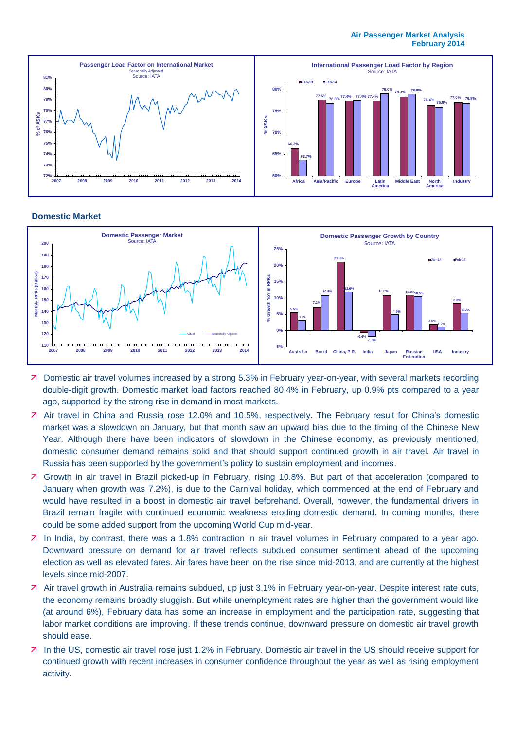#### **Air Passenger Market Analysis February 2014**



#### **Domestic Market**



- **7** Domestic air travel volumes increased by a strong 5.3% in February year-on-year, with several markets recording double-digit growth. Domestic market load factors reached 80.4% in February, up 0.9% pts compared to a year ago, supported by the strong rise in demand in most markets.
- Air travel in China and Russia rose 12.0% and 10.5%, respectively. The February result for China's domestic market was a slowdown on January, but that month saw an upward bias due to the timing of the Chinese New Year. Although there have been indicators of slowdown in the Chinese economy, as previously mentioned, domestic consumer demand remains solid and that should support continued growth in air travel. Air travel in Russia has been supported by the government's policy to sustain employment and incomes.
- Growth in air travel in Brazil picked-up in February, rising 10.8%. But part of that acceleration (compared to January when growth was 7.2%), is due to the Carnival holiday, which commenced at the end of February and would have resulted in a boost in domestic air travel beforehand. Overall, however, the fundamental drivers in Brazil remain fragile with continued economic weakness eroding domestic demand. In coming months, there could be some added support from the upcoming World Cup mid-year.
- In India, by contrast, there was a 1.8% contraction in air travel volumes in February compared to a year ago. Downward pressure on demand for air travel reflects subdued consumer sentiment ahead of the upcoming election as well as elevated fares. Air fares have been on the rise since mid-2013, and are currently at the highest levels since mid-2007.
- Air travel growth in Australia remains subdued, up just 3.1% in February year-on-year. Despite interest rate cuts, the economy remains broadly sluggish. But while unemployment rates are higher than the government would like (at around 6%), February data has some an increase in employment and the participation rate, suggesting that labor market conditions are improving. If these trends continue, downward pressure on domestic air travel growth should ease.
- 7 In the US, domestic air travel rose just 1.2% in February. Domestic air travel in the US should receive support for continued growth with recent increases in consumer confidence throughout the year as well as rising employment activity.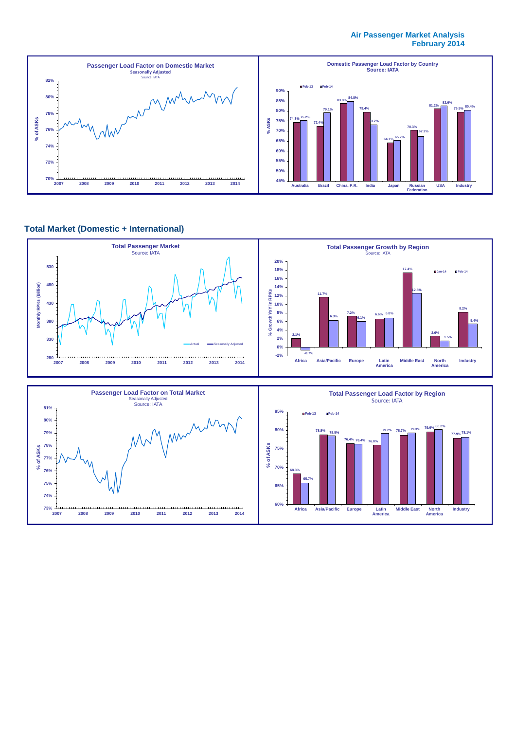#### **Air Passenger Market Analysis February 2014**



### **Total Market (Domestic + International)**



**Africa Asia/Pacific Europe Latin**

**America Middle East North America**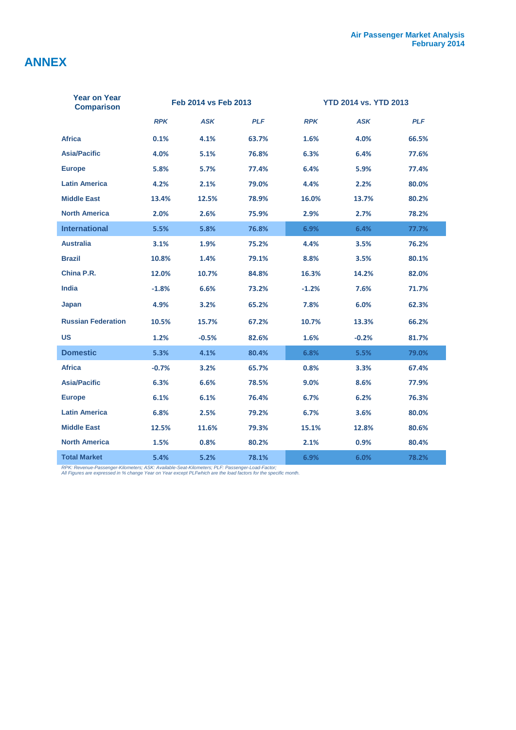# **ANNEX**

| <b>Year on Year</b><br><b>Comparison</b> |            | Feb 2014 vs Feb 2013 |            | <b>YTD 2014 vs. YTD 2013</b> |            |            |  |
|------------------------------------------|------------|----------------------|------------|------------------------------|------------|------------|--|
|                                          | <b>RPK</b> | <b>ASK</b>           | <b>PLF</b> | <b>RPK</b>                   | <b>ASK</b> | <b>PLF</b> |  |
| <b>Africa</b>                            | 0.1%       | 4.1%                 | 63.7%      | 1.6%                         | 4.0%       | 66.5%      |  |
| <b>Asia/Pacific</b>                      | 4.0%       | 5.1%                 | 76.8%      | 6.3%                         | 6.4%       | 77.6%      |  |
| <b>Europe</b>                            | 5.8%       | 5.7%                 | 77.4%      | 6.4%                         | 5.9%       | 77.4%      |  |
| <b>Latin America</b>                     | 4.2%       | 2.1%                 | 79.0%      | 4.4%                         | 2.2%       | 80.0%      |  |
| <b>Middle East</b>                       | 13.4%      | 12.5%                | 78.9%      | 16.0%                        | 13.7%      | 80.2%      |  |
| <b>North America</b>                     | 2.0%       | 2.6%                 | 75.9%      | 2.9%                         | 2.7%       | 78.2%      |  |
| <b>International</b>                     | 5.5%       | 5.8%                 | 76.8%      | 6.9%                         | 6.4%       | 77.7%      |  |
| <b>Australia</b>                         | 3.1%       | 1.9%                 | 75.2%      | 4.4%                         | 3.5%       | 76.2%      |  |
| <b>Brazil</b>                            | 10.8%      | 1.4%                 | 79.1%      | 8.8%                         | 3.5%       | 80.1%      |  |
| China P.R.                               | 12.0%      | 10.7%                | 84.8%      | 16.3%                        | 14.2%      | 82.0%      |  |
| <b>India</b>                             | $-1.8%$    | 6.6%                 | 73.2%      | $-1.2%$                      | 7.6%       | 71.7%      |  |
| Japan                                    | 4.9%       | 3.2%                 | 65.2%      | 7.8%                         | 6.0%       | 62.3%      |  |
| <b>Russian Federation</b>                | 10.5%      | 15.7%                | 67.2%      | 10.7%                        | 13.3%      | 66.2%      |  |
| US                                       | 1.2%       | $-0.5%$              | 82.6%      | 1.6%                         | $-0.2%$    | 81.7%      |  |
| <b>Domestic</b>                          | 5.3%       | 4.1%                 | 80.4%      | 6.8%                         | 5.5%       | 79.0%      |  |
| <b>Africa</b>                            | $-0.7%$    | 3.2%                 | 65.7%      | 0.8%                         | 3.3%       | 67.4%      |  |
| <b>Asia/Pacific</b>                      | 6.3%       | 6.6%                 | 78.5%      | 9.0%                         | 8.6%       | 77.9%      |  |
| <b>Europe</b>                            | 6.1%       | 6.1%                 | 76.4%      | 6.7%                         | 6.2%       | 76.3%      |  |
| <b>Latin America</b>                     | 6.8%       | 2.5%                 | 79.2%      | 6.7%                         | 3.6%       | 80.0%      |  |
| <b>Middle East</b>                       | 12.5%      | 11.6%                | 79.3%      | 15.1%                        | 12.8%      | 80.6%      |  |
| <b>North America</b>                     | 1.5%       | 0.8%                 | 80.2%      | 2.1%                         | 0.9%       | 80.4%      |  |
| <b>Total Market</b>                      | 5.4%       | 5.2%                 | 78.1%      | 6.9%                         | 6.0%       | 78.2%      |  |

*RPK: Revenue-Passenger-Kilometers; ASK: Available-Seat-Kilometers; PLF: Passenger-Load-Factor; All Figures are expressed in % change Year on Year except PLFwhich are the load factors for the specific month.*